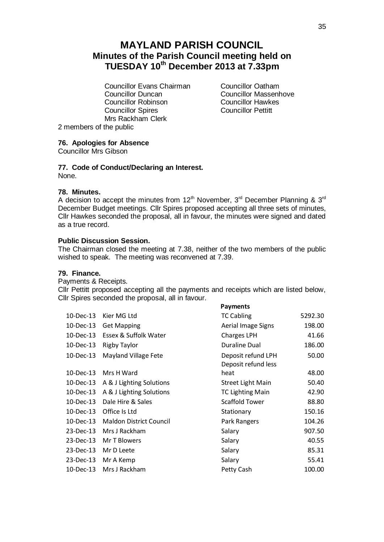# **MAYLAND PARISH COUNCIL Minutes of the Parish Council meeting held on TUESDAY 10th December 2013 at 7.33pm**

**Councillor Evans Chairman** Councillor Oatham<br>
Councillor Duncan<br>
Councillor Massenh **Councillor Robinson**<br>
Councillor Spires<br>
Councillor Pettitt Councillor Spires Mrs Rackham Clerk

Councillor Massenhove<br>Councillor Hawkes

2 members of the public

# **76. Apologies for Absence**

Councillor Mrs Gibson

# **77. Code of Conduct/Declaring an Interest.**

None.

# **78. Minutes.**

A decision to accept the minutes from  $12<sup>th</sup>$  November,  $3<sup>rd</sup>$  December Planning &  $3<sup>rd</sup>$ December Budget meetings. Cllr Spires proposed accepting all three sets of minutes, Cllr Hawkes seconded the proposal, all in favour, the minutes were signed and dated as a true record.

# **Public Discussion Session.**

The Chairman closed the meeting at 7.38, neither of the two members of the public wished to speak. The meeting was reconvened at 7.39.

# **79. Finance.**

Payments & Receipts.

Cllr Pettitt proposed accepting all the payments and receipts which are listed below, Cllr Spires seconded the proposal, all in favour.

**Payments**

| Kier MG Ltd                    | <b>TC Cabling</b>                         | 5292.30 |
|--------------------------------|-------------------------------------------|---------|
| <b>Get Mapping</b>             | Aerial Image Signs                        | 198.00  |
| Essex & Suffolk Water          | <b>Charges LPH</b>                        | 41.66   |
| <b>Rigby Taylor</b>            | <b>Duraline Dual</b>                      | 186.00  |
| Mayland Village Fete           | Deposit refund LPH<br>Deposit refund less | 50.00   |
| Mrs H Ward                     | heat                                      | 48.00   |
| A & J Lighting Solutions       | <b>Street Light Main</b>                  | 50.40   |
| A & J Lighting Solutions       | <b>TC Lighting Main</b>                   | 42.90   |
| Dale Hire & Sales              | <b>Scaffold Tower</b>                     | 88.80   |
| Office Is Ltd                  | Stationary                                | 150.16  |
| <b>Maldon District Council</b> | Park Rangers                              | 104.26  |
| Mrs J Rackham                  | Salary                                    | 907.50  |
| Mr T Blowers                   | Salary                                    | 40.55   |
| Mr D Leete                     | Salary                                    | 85.31   |
| Mr A Kemp                      | Salary                                    | 55.41   |
| Mrs J Rackham                  | Petty Cash                                | 100.00  |
|                                |                                           |         |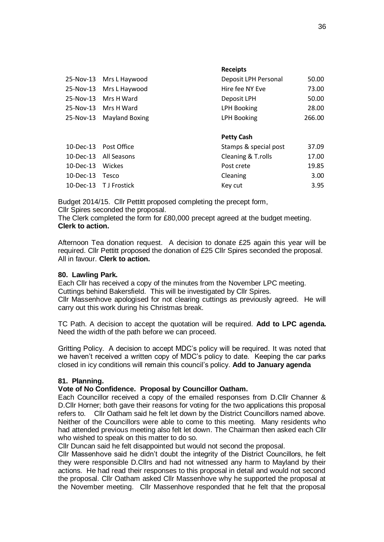|              | 25-Nov-13 Mrs L Haywood  | Deposit LPH Personal  | 50.00  |
|--------------|--------------------------|-----------------------|--------|
|              | 25-Nov-13 Mrs L Haywood  | Hire fee NY Eve       | 73.00  |
|              | 25-Nov-13 Mrs H Ward     | Deposit LPH           | 50.00  |
|              | 25-Nov-13 Mrs H Ward     | <b>LPH Booking</b>    | 28.00  |
|              | 25-Nov-13 Mayland Boxing | <b>LPH Booking</b>    | 266.00 |
|              |                          |                       |        |
|              |                          | <b>Petty Cash</b>     |        |
|              | 10-Dec-13 Post Office    | Stamps & special post | 37.09  |
|              | 10-Dec-13 All Seasons    | Cleaning & T.rolls    | 17.00  |
| $10$ -Dec-13 | Wickes                   | Post crete            | 19.85  |
| 10-Dec-13    | Tesco                    | Cleaning              | 3.00   |
|              | 10-Dec-13 TJ Frostick    | Key cut               | 3.95   |

**Receipts**

Budget 2014/15. Cllr Pettitt proposed completing the precept form, Cllr Spires seconded the proposal.

The Clerk completed the form for £80,000 precept agreed at the budget meeting. **Clerk to action.**

Afternoon Tea donation request. A decision to donate £25 again this year will be required. Cllr Pettitt proposed the donation of £25 Cllr Spires seconded the proposal. All in favour. **Clerk to action.**

### **80. Lawling Park.**

Each Cllr has received a copy of the minutes from the November LPC meeting. Cuttings behind Bakersfield. This will be investigated by Cllr Spires.

Cllr Massenhove apologised for not clearing cuttings as previously agreed. He will carry out this work during his Christmas break.

TC Path. A decision to accept the quotation will be required. **Add to LPC agenda.**  Need the width of the path before we can proceed.

Gritting Policy. A decision to accept MDC's policy will be required. It was noted that we haven't received a written copy of MDC's policy to date. Keeping the car parks closed in icy conditions will remain this council's policy. **Add to January agenda**

### **81. Planning.**

### **Vote of No Confidence. Proposal by Councillor Oatham.**

Each Councillor received a copy of the emailed responses from D.Cllr Channer & D.Cllr Horner; both gave their reasons for voting for the two applications this proposal refers to. Cllr Oatham said he felt let down by the District Councillors named above. Neither of the Councillors were able to come to this meeting. Many residents who had attended previous meeting also felt let down. The Chairman then asked each Cllr who wished to speak on this matter to do so.

Cllr Duncan said he felt disappointed but would not second the proposal.

Cllr Massenhove said he didn't doubt the integrity of the District Councillors, he felt they were responsible D.Cllrs and had not witnessed any harm to Mayland by their actions. He had read their responses to this proposal in detail and would not second the proposal. Cllr Oatham asked Cllr Massenhove why he supported the proposal at the November meeting. Cllr Massenhove responded that he felt that the proposal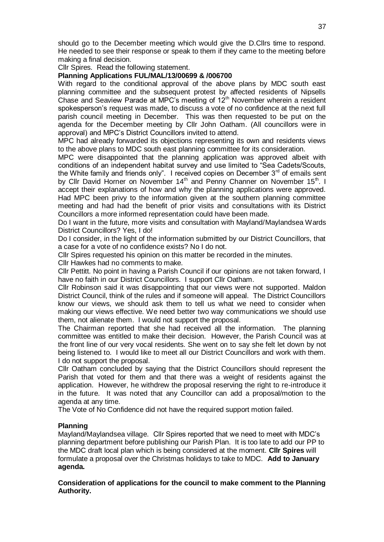should go to the December meeting which would give the D.Cllrs time to respond. He needed to see their response or speak to them if they came to the meeting before making a final decision.

Cllr Spires. Read the following statement.

## **Planning Applications FUL/MAL/13/00699 & /006700**

With regard to the conditional approval of the above plans by MDC south east planning committee and the subsequent protest by affected residents of Nipsells Chase and Seaview Parade at MPC's meeting of  $12<sup>th</sup>$  November wherein a resident spokesperson's request was made, to discuss a vote of no confidence at the next full parish council meeting in December. This was then requested to be put on the agenda for the December meeting by Cllr John Oatham. (All councillors were in approval) and MPC's District Councillors invited to attend.

MPC had already forwarded its objections representing its own and residents views to the above plans to MDC south east planning committee for its consideration.

MPC were disappointed that the planning application was approved albeit with conditions of an independent habitat survey and use limited to "Sea Cadets/Scouts, the White family and friends only". I received copies on December  $3<sup>rd</sup>$  of emails sent by Cllr David Horner on November 14<sup>th</sup> and Penny Channer on November 15<sup>th</sup>. I accept their explanations of how and why the planning applications were approved. Had MPC been privy to the information given at the southern planning committee meeting and had had the benefit of prior visits and consultations with its District Councillors a more informed representation could have been made.

Do I want in the future, more visits and consultation with Mayland/Maylandsea Wards District Councillors? Yes, I do!

Do I consider, in the light of the information submitted by our District Councillors, that a case for a vote of no confidence exists? No I do not.

Cllr Spires requested his opinion on this matter be recorded in the minutes.

Cllr Hawkes had no comments to make.

Cllr Pettitt. No point in having a Parish Council if our opinions are not taken forward, I have no faith in our District Councillors. I support Cllr Oatham.

Cllr Robinson said it was disappointing that our views were not supported. Maldon District Council, think of the rules and if someone will appeal. The District Councillors know our views, we should ask them to tell us what we need to consider when making our views effective. We need better two way communications we should use them, not alienate them. I would not support the proposal.

The Chairman reported that she had received all the information. The planning committee was entitled to make their decision. However, the Parish Council was at the front line of our very vocal residents. She went on to say she felt let down by not being listened to. I would like to meet all our District Councillors and work with them. I do not support the proposal.

Cllr Oatham concluded by saying that the District Councillors should represent the Parish that voted for them and that there was a weight of residents against the application. However, he withdrew the proposal reserving the right to re-introduce it in the future. It was noted that any Councillor can add a proposal/motion to the agenda at any time.

The Vote of No Confidence did not have the required support motion failed.

### **Planning**

Mayland/Maylandsea village. Cllr Spires reported that we need to meet with MDC's planning department before publishing our Parish Plan. It is too late to add our PP to the MDC draft local plan which is being considered at the moment. **Cllr Spires** will formulate a proposal over the Christmas holidays to take to MDC. **Add to January agenda.**

### **Consideration of applications for the council to make comment to the Planning Authority.**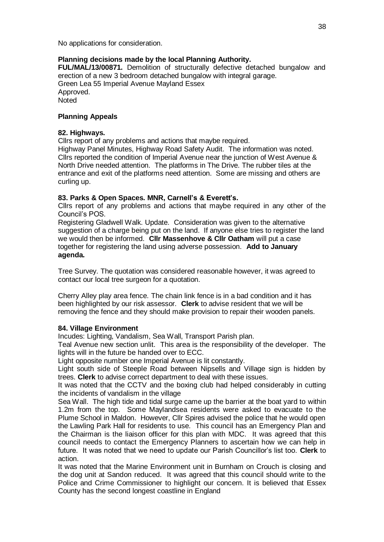No applications for consideration.

# **Planning decisions made by the local Planning Authority.**

**FUL/MAL/13/00871.** Demolition of structurally defective detached bungalow and erection of a new 3 bedroom detached bungalow with integral garage. Green Lea 55 Imperial Avenue Mayland Essex Approved. **Noted** 

# **Planning Appeals**

## **82. Highways.**

Cllrs report of any problems and actions that maybe required.

Highway Panel Minutes, Highway Road Safety Audit. The information was noted. Cllrs reported the condition of Imperial Avenue near the junction of West Avenue & North Drive needed attention. The platforms in The Drive. The rubber tiles at the entrance and exit of the platforms need attention. Some are missing and others are curling up.

# **83. Parks & Open Spaces. MNR, Carnell's & Everett's.**

Cllrs report of any problems and actions that maybe required in any other of the Council's POS.

Registering Gladwell Walk. Update. Consideration was given to the alternative suggestion of a charge being put on the land. If anyone else tries to register the land we would then be informed. **Cllr Massenhove & Cllr Oatham** will put a case together for registering the land using adverse possession. **Add to January agenda.**

Tree Survey. The quotation was considered reasonable however, it was agreed to contact our local tree surgeon for a quotation.

Cherry Alley play area fence. The chain link fence is in a bad condition and it has been highlighted by our risk assessor. **Clerk** to advise resident that we will be removing the fence and they should make provision to repair their wooden panels.

# **84. Village Environment**

Incudes: Lighting, Vandalism, Sea Wall, Transport Parish plan.

Teal Avenue new section unlit. This area is the responsibility of the developer. The lights will in the future be handed over to ECC.

Light opposite number one Imperial Avenue is lit constantly.

Light south side of Steeple Road between Nipsells and Village sign is hidden by trees. **Clerk** to advise correct department to deal with these issues.

It was noted that the CCTV and the boxing club had helped considerably in cutting the incidents of vandalism in the village

Sea Wall. The high tide and tidal surge came up the barrier at the boat yard to within 1.2m from the top. Some Maylandsea residents were asked to evacuate to the Plume School in Maldon. However, Cllr Spires advised the police that he would open the Lawling Park Hall for residents to use. This council has an Emergency Plan and the Chairman is the liaison officer for this plan with MDC. It was agreed that this council needs to contact the Emergency Planners to ascertain how we can help in future. It was noted that we need to update our Parish Councillor's list too. **Clerk** to action.

It was noted that the Marine Environment unit in Burnham on Crouch is closing and the dog unit at Sandon reduced. It was agreed that this council should write to the Police and Crime Commissioner to highlight our concern. It is believed that Essex County has the second longest coastline in England